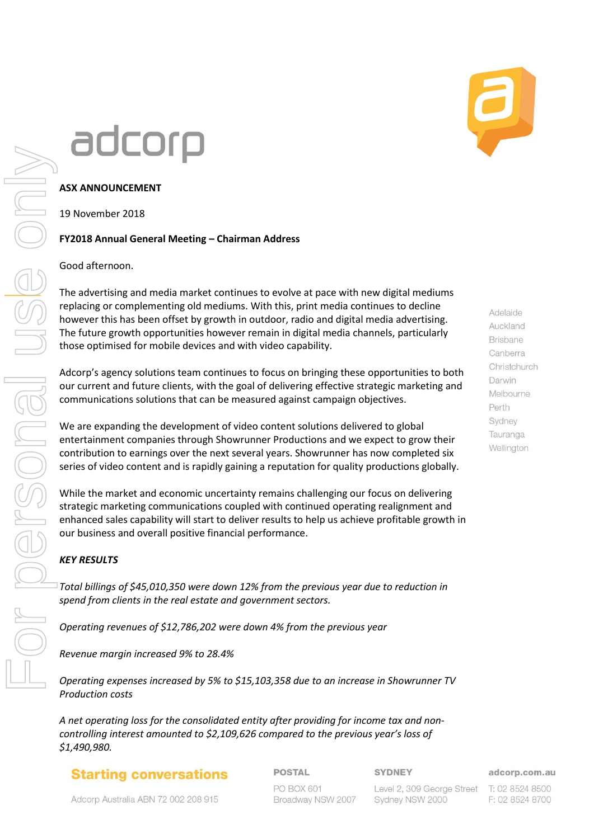

## adcorp

#### **ASX ANNOUNCEMENT**

19 November 2018

#### **FY2018 Annual General Meeting – Chairman Address**

Good afternoon.

The advertising and media market continues to evolve at pace with new digital mediums replacing or complementing old mediums. With this, print media continues to decline however this has been offset by growth in outdoor, radio and digital media advertising. The future growth opportunities however remain in digital media channels, particularly those optimised for mobile devices and with video capability.

Adcorp's agency solutions team continues to focus on bringing these opportunities to both our current and future clients, with the goal of delivering effective strategic marketing and communications solutions that can be measured against campaign objectives.

We are expanding the development of video content solutions delivered to global entertainment companies through Showrunner Productions and we expect to grow their contribution to earnings over the next several years. Showrunner has now completed six series of video content and is rapidly gaining a reputation for quality productions globally.

While the market and economic uncertainty remains challenging our focus on delivering strategic marketing communications coupled with continued operating realignment and enhanced sales capability will start to deliver results to help us achieve profitable growth in our business and overall positive financial performance.

#### *KEY RESULTS*

*Total billings of \$45,010,350 were down 12% from the previous year due to reduction in spend from clients in the real estate and government sectors.*

*Operating revenues of \$12,786,202 were down 4% from the previous year* 

*Revenue margin increased 9% to 28.4%* 

*Operating expenses increased by 5% to \$15,103,358 due to an increase in Showrunner TV Production costs* 

*A net operating loss for the consolidated entity after providing for income tax and noncontrolling interest amounted to \$2,109,626 compared to the previous year's loss of \$1,490,980.*

### **Starting conversations**

### **POSTAL**

**SYDNEY** 

adcorp.com.au

Level 2, 309 George Street T: 02 8524 8500 F: 02 8524 8700

Adelaide Auckland **Brisbane** Canberra Christchurch Darwin Melbourne Perth Sydney Tauranga Wellington

Adcorp Australia ABN 72 002 208 915

PO BOX 601 Broadway NSW 2007 Sydney NSW 2000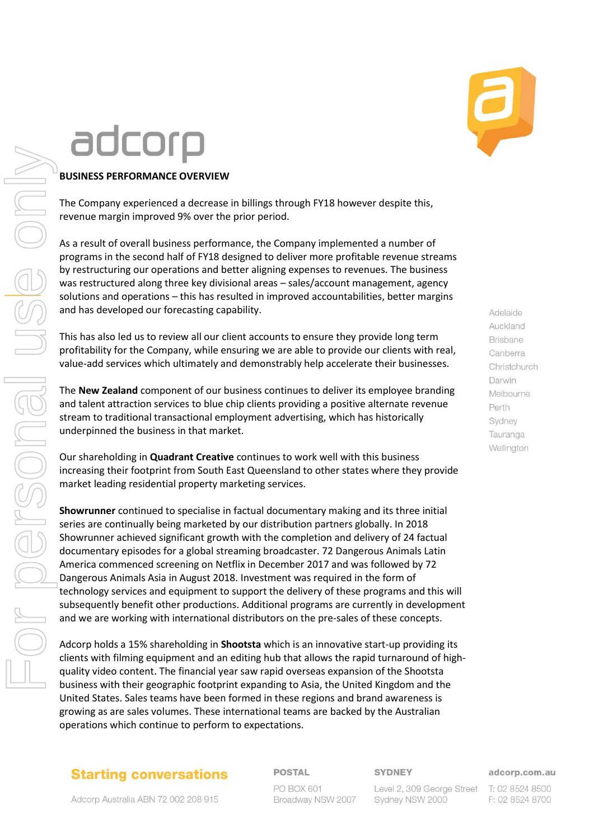

## adcorp

#### **BUSINESS PERFORMANCE OVERVIEW**

The Company experienced a decrease in billings through FY18 however despite this, revenue margin improved 9% over the prior period.

As a result of overall business performance, the Company implemented a number of programs in the second half of FY18 designed to deliver more profitable revenue streams by restructuring our operations and better aligning expenses to revenues. The business was restructured along three key divisional areas – sales/account management, agency solutions and operations – this has resulted in improved accountabilities, better margins and has developed our forecasting capability.

This has also led us to review all our client accounts to ensure they provide long term profitability for the Company, while ensuring we are able to provide our clients with real, value-add services which ultimately and demonstrably help accelerate their businesses.

The **New Zealand** component of our business continues to deliver its employee branding and talent attraction services to blue chip clients providing a positive alternate revenue stream to traditional transactional employment advertising, which has historically underpinned the business in that market.

Our shareholding in **Quadrant Creative** continues to work well with this business increasing their footprint from South East Queensland to other states where they provide market leading residential property marketing services.

**Showrunner** continued to specialise in factual documentary making and its three initial series are continually being marketed by our distribution partners globally. In 2018 Showrunner achieved significant growth with the completion and delivery of 24 factual documentary episodes for a global streaming broadcaster. 72 Dangerous Animals Latin America commenced screening on Netflix in December 2017 and was followed by 72 Dangerous Animals Asia in August 2018. Investment was required in the form of technology services and equipment to support the delivery of these programs and this will subsequently benefit other productions. Additional programs are currently in development and we are working with international distributors on the pre-sales of these concepts. For personal use only

Adcorp holds a 15% shareholding in **Shootsta** which is an innovative start-up providing its clients with filming equipment and an editing hub that allows the rapid turnaround of highquality video content. The financial year saw rapid overseas expansion of the Shootsta business with their geographic footprint expanding to Asia, the United Kingdom and the United States. Sales teams have been formed in these regions and brand awareness is growing as are sales volumes. These international teams are backed by the Australian operations which continue to perform to expectations.

Adelaide Auckland **Brisbane** Canberra Christchurch Darwin Melbourne Perth Sydney Tauranga Wellington

### **Starting conversations**

#### **POSTAL**

PO BOX 601 Broadway NSW 2007

#### **SYDNEY**

#### adcorp.com.au

T: 02 8524 8500 F: 02 8524 8700

Adcorp Australia ABN 72 002 208 915